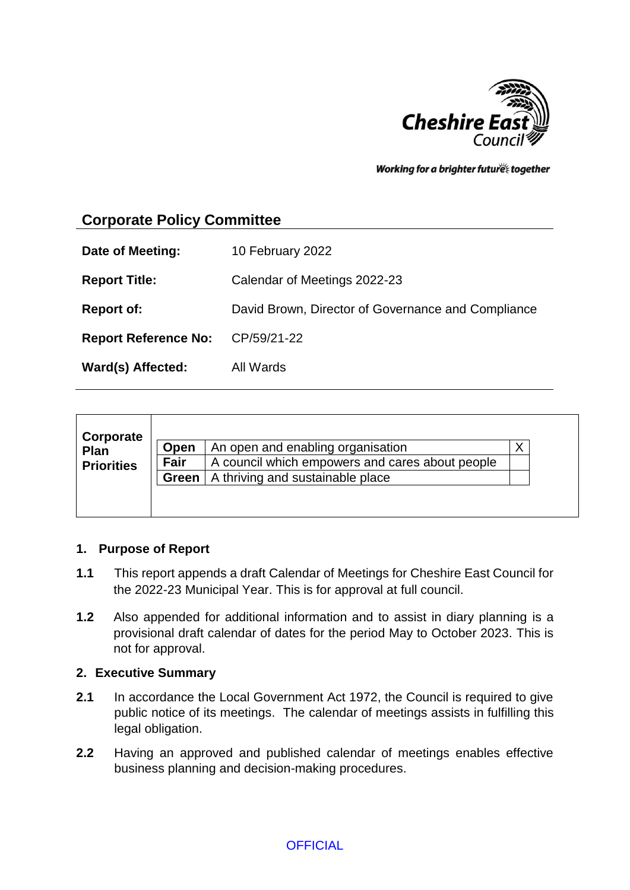

Working for a brighter futures together

# **Corporate Policy Committee**

| Date of Meeting:                 | 10 February 2022                                   |
|----------------------------------|----------------------------------------------------|
| <b>Report Title:</b>             | Calendar of Meetings 2022-23                       |
| <b>Report of:</b>                | David Brown, Director of Governance and Compliance |
| Report Reference No: CP/59/21-22 |                                                    |
| Ward(s) Affected:                | All Wards                                          |

| Corporate         |       |                                                 |   |  |
|-------------------|-------|-------------------------------------------------|---|--|
| Plan              | Open  | An open and enabling organisation               | X |  |
| <b>Priorities</b> | Fair  | A council which empowers and cares about people |   |  |
|                   | Green | A thriving and sustainable place                |   |  |
|                   |       |                                                 |   |  |
|                   |       |                                                 |   |  |

#### **1. Purpose of Report**

- **1.1** This report appends a draft Calendar of Meetings for Cheshire East Council for the 2022-23 Municipal Year. This is for approval at full council.
- **1.2** Also appended for additional information and to assist in diary planning is a provisional draft calendar of dates for the period May to October 2023. This is not for approval.

#### **2. Executive Summary**

- **2.1** In accordance the Local Government Act 1972, the Council is required to give public notice of its meetings. The calendar of meetings assists in fulfilling this legal obligation.
- **2.2** Having an approved and published calendar of meetings enables effective business planning and decision-making procedures.

**OFFICIAL**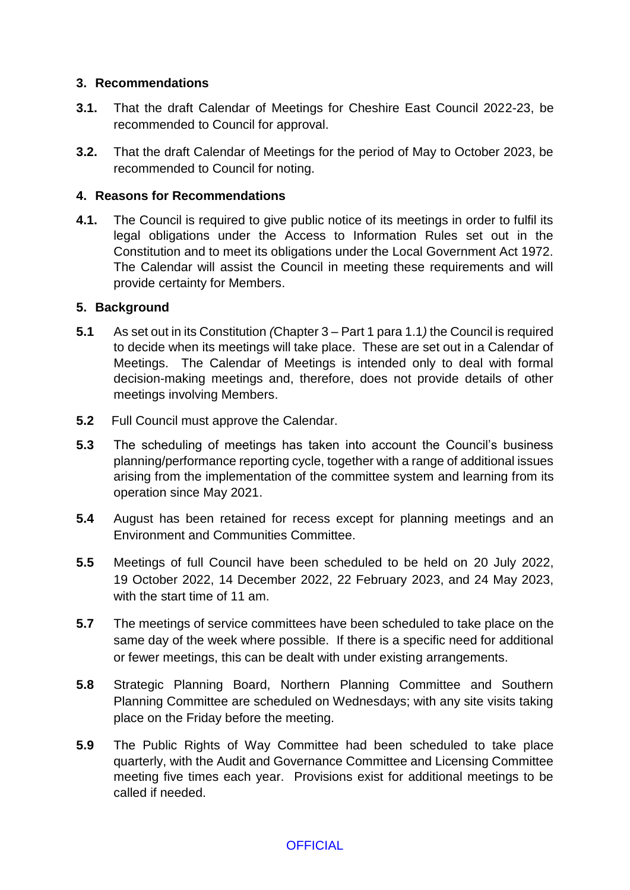#### **3. Recommendations**

- **3.1.** That the draft Calendar of Meetings for Cheshire East Council 2022-23, be recommended to Council for approval.
- **3.2.** That the draft Calendar of Meetings for the period of May to October 2023, be recommended to Council for noting.

#### **4. Reasons for Recommendations**

**4.1.** The Council is required to give public notice of its meetings in order to fulfil its legal obligations under the Access to Information Rules set out in the Constitution and to meet its obligations under the Local Government Act 1972. The Calendar will assist the Council in meeting these requirements and will provide certainty for Members.

#### **5. Background**

- **5.1** As set out in its Constitution *(*Chapter 3 Part 1 para 1.1*)* the Council is required to decide when its meetings will take place. These are set out in a Calendar of Meetings. The Calendar of Meetings is intended only to deal with formal decision-making meetings and, therefore, does not provide details of other meetings involving Members.
- **5.2** Full Council must approve the Calendar.
- **5.3** The scheduling of meetings has taken into account the Council's business planning/performance reporting cycle, together with a range of additional issues arising from the implementation of the committee system and learning from its operation since May 2021.
- **5.4** August has been retained for recess except for planning meetings and an Environment and Communities Committee.
- **5.5** Meetings of full Council have been scheduled to be held on 20 July 2022, 19 October 2022, 14 December 2022, 22 February 2023, and 24 May 2023, with the start time of 11 am.
- **5.7** The meetings of service committees have been scheduled to take place on the same day of the week where possible. If there is a specific need for additional or fewer meetings, this can be dealt with under existing arrangements.
- **5.8** Strategic Planning Board, Northern Planning Committee and Southern Planning Committee are scheduled on Wednesdays; with any site visits taking place on the Friday before the meeting.
- **5.9** The Public Rights of Way Committee had been scheduled to take place quarterly, with the Audit and Governance Committee and Licensing Committee meeting five times each year. Provisions exist for additional meetings to be called if needed.

#### **OFFICIAL**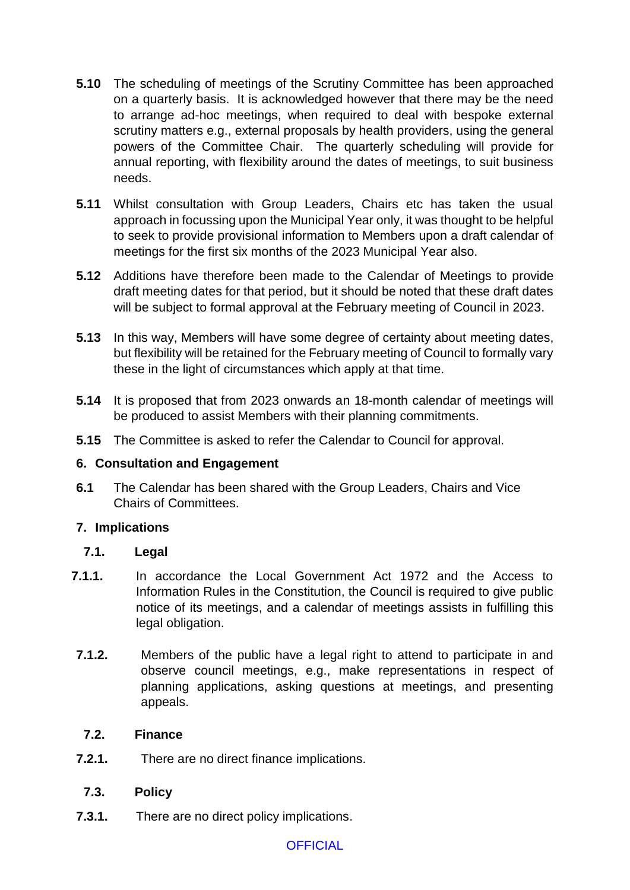- **5.10** The scheduling of meetings of the Scrutiny Committee has been approached on a quarterly basis. It is acknowledged however that there may be the need to arrange ad-hoc meetings, when required to deal with bespoke external scrutiny matters e.g., external proposals by health providers, using the general powers of the Committee Chair. The quarterly scheduling will provide for annual reporting, with flexibility around the dates of meetings, to suit business needs.
- **5.11** Whilst consultation with Group Leaders, Chairs etc has taken the usual approach in focussing upon the Municipal Year only, it was thought to be helpful to seek to provide provisional information to Members upon a draft calendar of meetings for the first six months of the 2023 Municipal Year also.
- **5.12** Additions have therefore been made to the Calendar of Meetings to provide draft meeting dates for that period, but it should be noted that these draft dates will be subject to formal approval at the February meeting of Council in 2023.
- **5.13** In this way, Members will have some degree of certainty about meeting dates, but flexibility will be retained for the February meeting of Council to formally vary these in the light of circumstances which apply at that time.
- **5.14** It is proposed that from 2023 onwards an 18-month calendar of meetings will be produced to assist Members with their planning commitments.
- **5.15** The Committee is asked to refer the Calendar to Council for approval.

#### **6. Consultation and Engagement**

**6.1** The Calendar has been shared with the Group Leaders, Chairs and Vice Chairs of Committees.

#### **7. Implications**

#### **7.1. Legal**

- **7.1.1.** In accordance the Local Government Act 1972 and the Access to Information Rules in the Constitution, the Council is required to give public notice of its meetings, and a calendar of meetings assists in fulfilling this legal obligation.
- **7.1.2.** Members of the public have a legal right to attend to participate in and observe council meetings, e.g., make representations in respect of planning applications, asking questions at meetings, and presenting appeals.

## **7.2. Finance**

**7.2.1.** There are no direct finance implications.

## **7.3. Policy**

**7.3.1.** There are no direct policy implications.